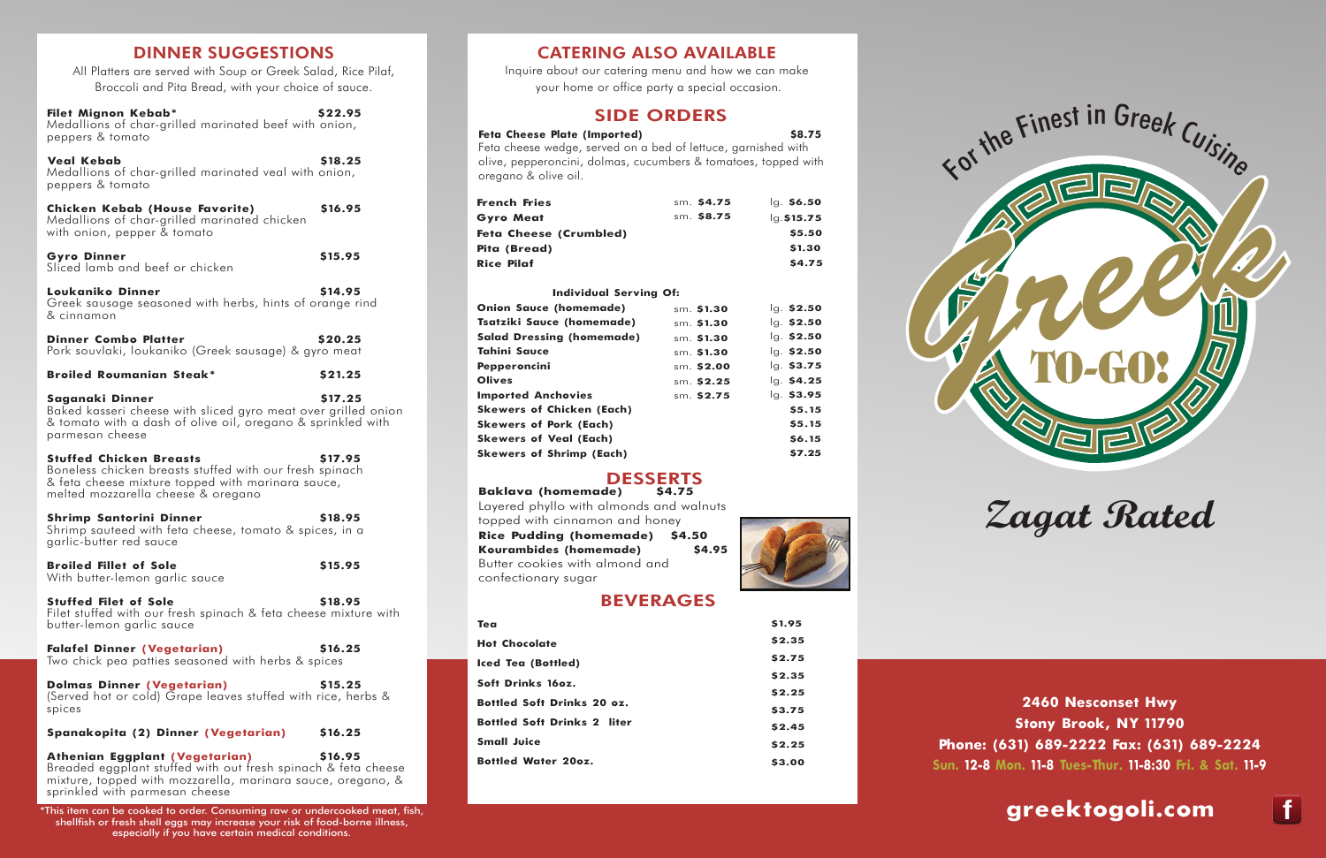

**2460 Nesconset Hwy Stony Brook, NY 11790 Phone: (631) 689-2222 Fax: (631) 689-2224 Sun. 12-8 Mon. 11-8 Tues-Thur. 11-8:30 Fri. & Sat. 11-9**

**greektogoli.com**



## CATERING ALSO AVAILABLE

Inquire about our catering menu and how we can make your home or office party a special occasion.

## SIDE ORDERS

## Feta Cheese Plate (Imported) \$8.75

Feta cheese wedge, served on a bed of lettuce, garnished with olive, pepperoncini, dolmas, cucumbers & tomatoes, topped with oregano & olive oil.

## **Individual Serving Of:**

**Baklava (homemade)** Layered phyllo with almonds and walnuts topped with cinnamon and honey **Rice Pudding (homemade) \$4.50 Kourambides (homemade) \$4.95** Butter cookies with almond and confectionary sugar



| French Fries           | sm. \$4.75 | $Iq.$ \$6.50  |
|------------------------|------------|---------------|
| Gyro Meat              | sm. \$8.75 | $lq.$ \$15.75 |
| Feta Cheese (Crumbled) |            | \$5.50        |
| Pita (Bread)           |            | \$1.30        |
| Rice Pilaf             |            | \$4.75        |
|                        |            |               |

| <b>Onion Sauce (homemade)</b>    | sm. \$1.30  | $lg.$ \$2.50 |
|----------------------------------|-------------|--------------|
| Tsatziki Sauce (homemade)        | sm. \$1.30  | lg. \$2.50   |
| <b>Salad Dressing (homemade)</b> | sm. \$1.30  | $lg.$ \$2.50 |
| Tahini Sauce                     | sm. \$1.30  | $lg.$ \$2.50 |
| Pepperoncini                     | sm. $$2.00$ | lg. \$3.75   |
| <b>Olives</b>                    | sm. \$2.25  | lg. \$4.25   |
| <b>Imported Anchovies</b>        | sm. \$2.75  | lg. \$3.95   |
| Skewers of Chicken (Each)        |             | \$5.15       |
| <b>Skewers of Pork (Each)</b>    |             | \$5.15       |
| Skewers of Veal (Each)           |             | \$6.15       |
| <b>Skewers of Shrimp (Each)</b>  |             | \$7.25       |
|                                  |             |              |

# DESSERTS<br>de) \$4.75

# BEVERAGES

| Tea                                | \$1.95 |
|------------------------------------|--------|
| <b>Hot Chocolate</b>               | \$2.35 |
| <b>Iced Tea (Bottled)</b>          | \$2.75 |
| Soft Drinks 160z.                  | \$2.35 |
| <b>Bottled Soft Drinks 20 oz.</b>  | \$2.25 |
|                                    | \$3.75 |
| <b>Bottled Soft Drinks 2 liter</b> | \$2.45 |
| <b>Small Juice</b>                 | \$2.25 |
| <b>Bottled Water 200Z.</b>         | \$3.00 |



# **DINNER SUGGESTIONS**

| All Platters are served with Soup or Greek Salad, Rice Pilaf,<br>Broccoli and Pita Bread, with your choice of sauce.                                                                                    |               |
|---------------------------------------------------------------------------------------------------------------------------------------------------------------------------------------------------------|---------------|
| Filet Mignon Kebab*<br>Medallions of char-grilled marinated beef with onion,<br>peppers & tomato                                                                                                        | \$22.95       |
| <b>Veal Kebab</b><br>Medallions of char-grilled marinated veal with onion,<br>peppers & tomato                                                                                                          | \$18.25       |
| <b>Chicken Kebab (House Favorite)</b><br>Medallions of char-grilled marinated chicken<br>with onion, pepper & tomato                                                                                    | \$16.95       |
| <b>Gyro Dinner</b><br>Sliced lamb and beef or chicken                                                                                                                                                   | \$15.95       |
| <b>Loukaniko Dinner</b><br>Greek sausage seasoned with herbs, hints of orange rind<br>& cinnamon                                                                                                        | \$14.95       |
| <b>Dinner Combo Platter</b><br>Pork souvlaki, loukaniko (Greek sausage) & gyro meat                                                                                                                     | \$20.25       |
| <b>Broiled Roumanian Steak*</b>                                                                                                                                                                         | \$21.25       |
| Saganaki Dinner<br>Baked kasseri cheese with sliced gyro meat over grilled onion<br>& tomato with a dash of olive oil, oregano & sprinkled with<br>parmesan cheese                                      | \$17.25       |
| <b>Stuffed Chicken Breasts</b><br>Boneless chicken breasts stuffed with our fresh spinach<br>& feta cheese mixture topped with marinara sauce,<br>melted mozzarella cheese & oregano                    | \$17.95       |
| <b>Shrimp Santorini Dinner</b><br>Shrimp sauteed with feta cheese, tomato & spices, in a<br>garlic-butter red sauce                                                                                     | <b>S18.95</b> |
| <b>Broiled Fillet of Sole</b><br>With butter-lemon garlic sauce                                                                                                                                         | \$15.95       |
| <b>Stuffed Filet of Sole</b><br>Filet stuffed with our fresh spinach & feta cheese mixture with<br>butter-lemon garlic sauce                                                                            | \$18.95       |
| <b>Falafel Dinner (Vegetarian)</b><br>Two chick pea patties seasoned with herbs & spices                                                                                                                | \$16.25       |
| <b>Dolmas Dinner (Vegetarian)</b><br>(Served hot or cold) Grape leaves stuffed with rice, herbs &<br>spices                                                                                             | \$15.25       |
| Spanakopita (2) Dinner (Vegetarian)                                                                                                                                                                     | \$16.25       |
| <b>Athenian Eggplant (Vegetarian)</b><br>Breaded eggplant stuffed with out fresh spinach & feta cheese<br>mixture, topped with mozzarella, marinara sauce, oregano, &<br>sprinkled with parmesan cheese | \$16.95       |

\*This item can be cooked to order. Consuming raw or undercooked meat, fish, shellfish or fresh shell eggs may increase your risk of food-borne illness, especially if you have certain medical conditions.